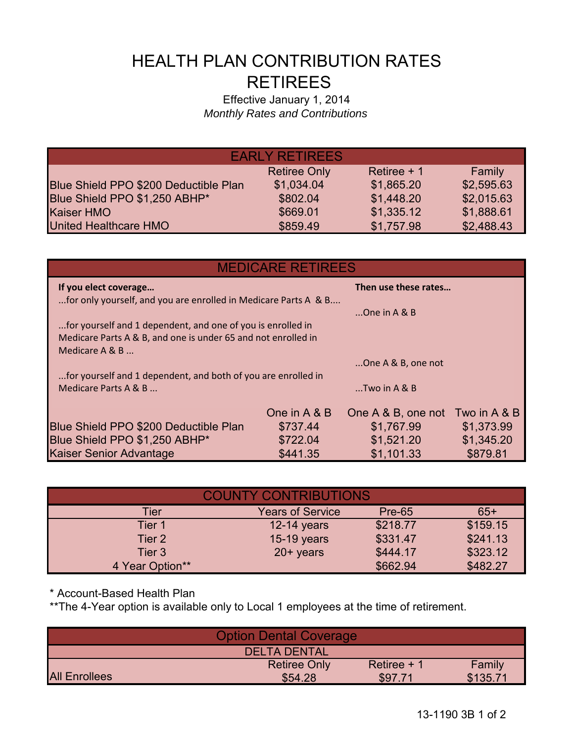## HEALTH PLAN CONTRIBUTION RATES RETIREES

## Effective January 1, 2014 *Monthly Rates and Contributions*

| <b>EARLY RETIREES</b>                 |                     |              |            |  |  |
|---------------------------------------|---------------------|--------------|------------|--|--|
|                                       | <b>Retiree Only</b> | Retiree $+1$ | Family     |  |  |
| Blue Shield PPO \$200 Deductible Plan | \$1,034.04          | \$1,865.20   | \$2,595.63 |  |  |
| Blue Shield PPO \$1,250 ABHP*         | \$802.04            | \$1,448.20   | \$2,015.63 |  |  |
| Kaiser HMO                            | \$669.01            | \$1,335.12   | \$1,888.61 |  |  |
| <b>United Healthcare HMO</b>          | \$859.49            | \$1,757.98   | \$2,488.43 |  |  |

| <b>MEDICARE RETIREES</b>                                        |              |                      |              |  |  |
|-----------------------------------------------------------------|--------------|----------------------|--------------|--|--|
| If you elect coverage                                           |              | Then use these rates |              |  |  |
| for only yourself, and you are enrolled in Medicare Parts A & B |              | One in $A \& B$      |              |  |  |
| for yourself and 1 dependent, and one of you is enrolled in     |              |                      |              |  |  |
| Medicare Parts A & B, and one is under 65 and not enrolled in   |              |                      |              |  |  |
| Medicare A & B                                                  |              |                      |              |  |  |
|                                                                 |              | One A & B, one not   |              |  |  |
| for yourself and 1 dependent, and both of you are enrolled in   |              |                      |              |  |  |
| Medicare Parts A & B                                            |              | $$ Two in A & B      |              |  |  |
|                                                                 | One in A & B | One A & B, one not   | Two in A & B |  |  |
| Blue Shield PPO \$200 Deductible Plan                           | \$737.44     | \$1,767.99           | \$1,373.99   |  |  |
| Blue Shield PPO \$1,250 ABHP*                                   | \$722.04     | \$1,521.20           | \$1,345.20   |  |  |
| Kaiser Senior Advantage                                         | \$441.35     | \$1,101.33           | \$879.81     |  |  |

| <b>COUNTY CONTRIBUTIONS</b> |                         |               |          |  |
|-----------------------------|-------------------------|---------------|----------|--|
| Tier                        | <b>Years of Service</b> | <b>Pre-65</b> | $65+$    |  |
| Tier 1                      | 12-14 years             | \$218.77      | \$159.15 |  |
| Tier 2                      | 15-19 years             | \$331.47      | \$241.13 |  |
| Tier <sub>3</sub>           | $20+$ years             | \$444.17      | \$323.12 |  |
| 4 Year Option**             |                         | \$662.94      | \$482.27 |  |

\* Account-Based Health Plan

\*\*The 4-Year option is available only to Local 1 employees at the time of retirement.

| <b>Option Dental Coverage</b> |                     |              |          |  |
|-------------------------------|---------------------|--------------|----------|--|
|                               | <b>DELTA DENTAL</b> |              |          |  |
|                               | <b>Retiree Only</b> | Retiree $+1$ | Family   |  |
| <b>All Enrollees</b>          | \$54.28             | \$97.71      | \$135.71 |  |